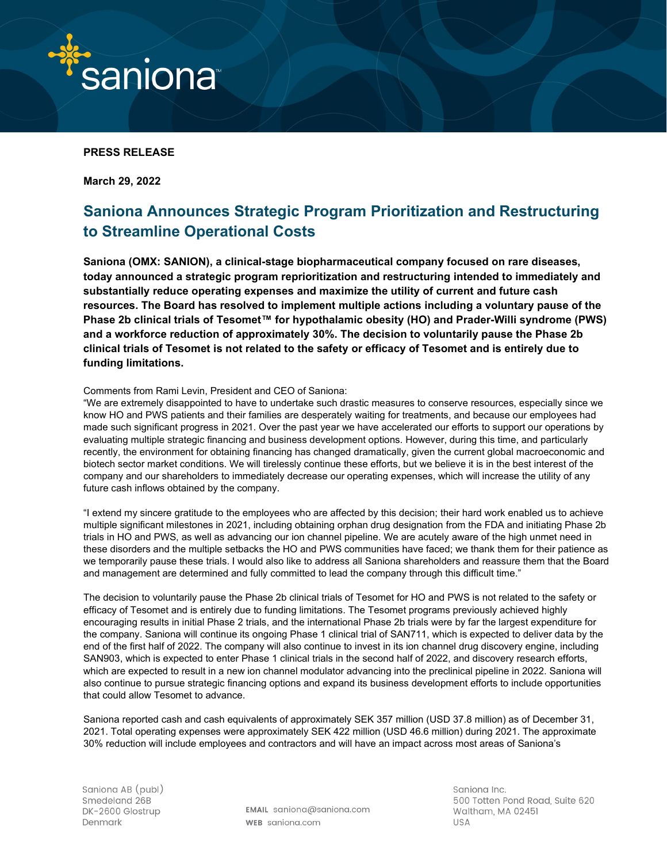

## **PRESS RELEASE**

**March 29, 2022**

# **Saniona Announces Strategic Program Prioritization and Restructuring to Streamline Operational Costs**

**Saniona (OMX: SANION), a clinical-stage biopharmaceutical company focused on rare diseases, today announced a strategic program reprioritization and restructuring intended to immediately and substantially reduce operating expenses and maximize the utility of current and future cash resources. The Board has resolved to implement multiple actions including a voluntary pause of the Phase 2b clinical trials of Tesomet™ for hypothalamic obesity (HO) and Prader-Willi syndrome (PWS) and a workforce reduction of approximately 30%. The decision to voluntarily pause the Phase 2b clinical trials of Tesomet is not related to the safety or efficacy of Tesomet and is entirely due to funding limitations.**

#### Comments from Rami Levin, President and CEO of Saniona:

"We are extremely disappointed to have to undertake such drastic measures to conserve resources, especially since we know HO and PWS patients and their families are desperately waiting for treatments, and because our employees had made such significant progress in 2021. Over the past year we have accelerated our efforts to support our operations by evaluating multiple strategic financing and business development options. However, during this time, and particularly recently, the environment for obtaining financing has changed dramatically, given the current global macroeconomic and biotech sector market conditions. We will tirelessly continue these efforts, but we believe it is in the best interest of the company and our shareholders to immediately decrease our operating expenses, which will increase the utility of any future cash inflows obtained by the company.

"I extend my sincere gratitude to the employees who are affected by this decision; their hard work enabled us to achieve multiple significant milestones in 2021, including obtaining orphan drug designation from the FDA and initiating Phase 2b trials in HO and PWS, as well as advancing our ion channel pipeline. We are acutely aware of the high unmet need in these disorders and the multiple setbacks the HO and PWS communities have faced; we thank them for their patience as we temporarily pause these trials. I would also like to address all Saniona shareholders and reassure them that the Board and management are determined and fully committed to lead the company through this difficult time."

The decision to voluntarily pause the Phase 2b clinical trials of Tesomet for HO and PWS is not related to the safety or efficacy of Tesomet and is entirely due to funding limitations. The Tesomet programs previously achieved highly encouraging results in initial Phase 2 trials, and the international Phase 2b trials were by far the largest expenditure for the company. Saniona will continue its ongoing Phase 1 clinical trial of SAN711, which is expected to deliver data by the end of the first half of 2022. The company will also continue to invest in its ion channel drug discovery engine, including SAN903, which is expected to enter Phase 1 clinical trials in the second half of 2022, and discovery research efforts, which are expected to result in a new ion channel modulator advancing into the preclinical pipeline in 2022. Saniona will also continue to pursue strategic financing options and expand its business development efforts to include opportunities that could allow Tesomet to advance.

Saniona reported cash and cash equivalents of approximately SEK 357 million (USD 37.8 million) as of December 31, 2021. Total operating expenses were approximately SEK 422 million (USD 46.6 million) during 2021. The approximate 30% reduction will include employees and contractors and will have an impact across most areas of Saniona's

EMAIL saniona@saniona.com WEB saniona.com

Sanjona Inc. 500 Totten Pond Road, Suite 620 Waltham, MA 02451 **USA**